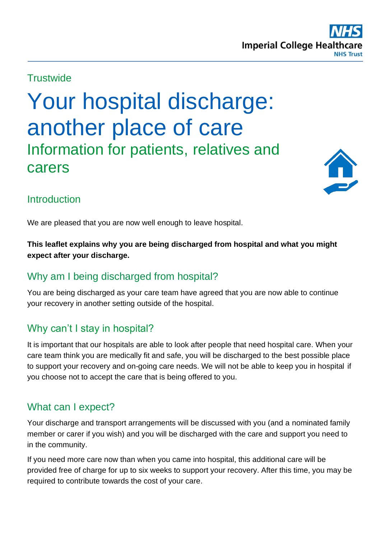### **Trustwide**

Your hospital discharge: another place of care Information for patients, relatives and carers



# **Introduction**

We are pleased that you are now well enough to leave hospital.

**This leaflet explains why you are being discharged from hospital and what you might expect after your discharge.**

## Why am I being discharged from hospital?

You are being discharged as your care team have agreed that you are now able to continue your recovery in another setting outside of the hospital.

## Why can't I stay in hospital?

It is important that our hospitals are able to look after people that need hospital care. When your care team think you are medically fit and safe, you will be discharged to the best possible place to support your recovery and on-going care needs. We will not be able to keep you in hospital if you choose not to accept the care that is being offered to you.

## What can I expect?

Your discharge and transport arrangements will be discussed with you (and a nominated family member or carer if you wish) and you will be discharged with the care and support you need to in the community.

If you need more care now than when you came into hospital, this additional care will be provided free of charge for up to six weeks to support your recovery. After this time, you may be required to contribute towards the cost of your care.